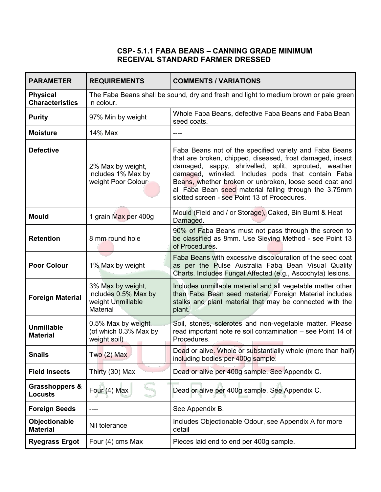#### **CSP- 5.1.1 FABA BEANS – CANNING GRADE MINIMUM RECEIVAL STANDARD FARMER DRESSED**

| <b>PARAMETER</b>                            | <b>REQUIREMENTS</b>                                                                                | <b>COMMENTS / VARIATIONS</b>                                                                                                                                                                                                                                                                                                                                                                          |
|---------------------------------------------|----------------------------------------------------------------------------------------------------|-------------------------------------------------------------------------------------------------------------------------------------------------------------------------------------------------------------------------------------------------------------------------------------------------------------------------------------------------------------------------------------------------------|
| <b>Physical</b><br><b>Characteristics</b>   | The Faba Beans shall be sound, dry and fresh and light to medium brown or pale green<br>in colour. |                                                                                                                                                                                                                                                                                                                                                                                                       |
| <b>Purity</b>                               | 97% Min by weight                                                                                  | Whole Faba Beans, defective Faba Beans and Faba Bean<br>seed coats.                                                                                                                                                                                                                                                                                                                                   |
| <b>Moisture</b>                             | 14% Max                                                                                            | ----                                                                                                                                                                                                                                                                                                                                                                                                  |
| <b>Defective</b>                            | 2% Max by weight,<br>includes 1% Max by<br>weight Poor Colour                                      | Faba Beans not of the specified variety and Faba Beans<br>that are broken, chipped, diseased, frost damaged, insect<br>damaged, sappy, shrivelled, split, sprouted, weather<br>damaged, wrinkled. Includes pods that contain Faba<br>Beans, whether broken or unbroken, loose seed coat and<br>all Faba Bean seed material falling through the 3.75mm<br>slotted screen - see Point 13 of Procedures. |
| <b>Mould</b>                                | 1 grain Max per 400g                                                                               | Mould (Field and / or Storage), Caked, Bin Burnt & Heat<br>Damaged.                                                                                                                                                                                                                                                                                                                                   |
| <b>Retention</b>                            | 8 mm round hole                                                                                    | 90% of Faba Beans must not pass through the screen to<br>be classified as 8mm. Use Sieving Method - see Point 13<br>of Procedures.                                                                                                                                                                                                                                                                    |
| <b>Poor Colour</b>                          | 1% Max by weight                                                                                   | Faba Beans with excessive discolouration of the seed coat<br>as per the Pulse Australia Faba Bean Visual Quality<br>Charts. Includes Fungal Affected (e.g., Ascochyta) lesions.                                                                                                                                                                                                                       |
| <b>Foreign Material</b>                     | 3% Max by weight,<br>includes 0.5% Max by<br>weight Unmillable<br>Material                         | Includes unmillable material and all vegetable matter other<br>than Faba Bean seed material. Foreign Material includes<br>stalks and plant material that may be connected with the<br>plant.                                                                                                                                                                                                          |
| <b>Unmillable</b><br><b>Material</b>        | 0.5% Max by weight<br>(of which 0.3% Max by<br>weight soil)                                        | Soil, stones, sclerotes and non-vegetable matter. Please<br>read important note re soil contamination - see Point 14 of<br>Procedures.                                                                                                                                                                                                                                                                |
| <b>Snails</b>                               | Two (2) Max                                                                                        | Dead or alive. Whole or substantially whole (more than half)<br>including bodies per 400g sample.                                                                                                                                                                                                                                                                                                     |
| <b>Field Insects</b>                        | Thirty (30) Max                                                                                    | Dead or alive per 400g sample. See Appendix C.                                                                                                                                                                                                                                                                                                                                                        |
| <b>Grasshoppers &amp;</b><br><b>Locusts</b> | Four (4) Max                                                                                       | Dead or alive per 400g sample. See Appendix C.                                                                                                                                                                                                                                                                                                                                                        |
| <b>Foreign Seeds</b>                        |                                                                                                    | See Appendix B.                                                                                                                                                                                                                                                                                                                                                                                       |
| Objectionable<br><b>Material</b>            | Nil tolerance                                                                                      | Includes Objectionable Odour, see Appendix A for more<br>detail                                                                                                                                                                                                                                                                                                                                       |
| <b>Ryegrass Ergot</b>                       | Four (4) cms Max                                                                                   | Pieces laid end to end per 400g sample.                                                                                                                                                                                                                                                                                                                                                               |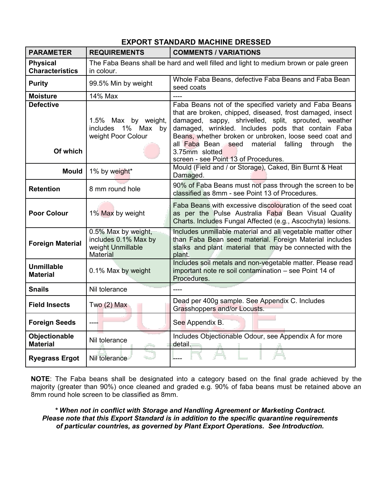| <b>PARAMETER</b>                          | <b>REQUIREMENTS</b>                                                                                | <b>COMMENTS / VARIATIONS</b>                                                                                                                                                                                                                                                                                                                                                                                      |
|-------------------------------------------|----------------------------------------------------------------------------------------------------|-------------------------------------------------------------------------------------------------------------------------------------------------------------------------------------------------------------------------------------------------------------------------------------------------------------------------------------------------------------------------------------------------------------------|
| <b>Physical</b><br><b>Characteristics</b> | The Faba Beans shall be hard and well filled and light to medium brown or pale green<br>in colour. |                                                                                                                                                                                                                                                                                                                                                                                                                   |
| <b>Purity</b>                             | 99.5% Min by weight                                                                                | Whole Faba Beans, defective Faba Beans and Faba Bean<br>seed coats                                                                                                                                                                                                                                                                                                                                                |
| <b>Moisture</b>                           | 14% Max                                                                                            |                                                                                                                                                                                                                                                                                                                                                                                                                   |
| <b>Defective</b><br>Of which              | 1.5% Max by weight,<br>includes 1% Max by<br>weight Poor Colour                                    | Faba Beans not of the specified variety and Faba Beans<br>that are broken, chipped, diseased, frost damaged, insect<br>damaged, sappy, shrivelled, split, sprouted, weather<br>damaged, wrinkled. Includes pods that contain Faba<br>Beans, whether broken or unbroken, loose seed coat and<br>all Faba Bean seed<br>material falling<br>through<br>the<br>3.75mm slotted<br>screen - see Point 13 of Procedures. |
| <b>Mould</b>                              | 1% by weight*                                                                                      | Mould (Field and / or Storage), Caked, Bin Burnt & Heat<br>Damaged.                                                                                                                                                                                                                                                                                                                                               |
| <b>Retention</b>                          | 8 mm round hole                                                                                    | 90% of Faba Beans must not pass through the screen to be<br>classified as 8mm - see Point 13 of Procedures.                                                                                                                                                                                                                                                                                                       |
| <b>Poor Colour</b>                        | 1% Max by weight                                                                                   | Faba Beans with excessive discolouration of the seed coat<br>as per the Pulse Australia Faba Bean Visual Quality<br>Charts. Includes Fungal Affected (e.g., Ascochyta) lesions.                                                                                                                                                                                                                                   |
| <b>Foreign Material</b>                   | 0.5% Max by weight,<br>includes 0.1% Max by<br>weight Unmillable<br><b>Material</b>                | Includes unmillable material and all vegetable matter other<br>than Faba Bean seed material. Foreign Material includes<br>stalks and plant material that may be connected with the<br>plant.                                                                                                                                                                                                                      |
| <b>Unmillable</b><br><b>Material</b>      | 0.1% Max by weight                                                                                 | Includes soil metals and non-vegetable matter. Please read<br>important note re soil contamination - see Point 14 of<br>Procedures.                                                                                                                                                                                                                                                                               |
| <b>Snails</b>                             | Nil tolerance                                                                                      |                                                                                                                                                                                                                                                                                                                                                                                                                   |
| <b>Field Insects</b>                      | Two $(2)$ Max                                                                                      | Dead per 400g sample. See Appendix C. Includes<br>Grasshoppers and/or Locusts.                                                                                                                                                                                                                                                                                                                                    |
| <b>Foreign Seeds</b>                      |                                                                                                    | See Appendix B.                                                                                                                                                                                                                                                                                                                                                                                                   |
| Objectionable<br><b>Material</b>          | Nil tolerance                                                                                      | Includes Objectionable Odour, see Appendix A for more<br>detail.                                                                                                                                                                                                                                                                                                                                                  |
| <b>Ryegrass Ergot</b>                     | Nil tolerance                                                                                      |                                                                                                                                                                                                                                                                                                                                                                                                                   |

## **EXPORT STANDARD MACHINE DRESSED**

**NOTE**: The Faba beans shall be designated into a category based on the final grade achieved by the majority (greater than 90%) once cleaned and graded e.g. 90% of faba beans must be retained above an 8mm round hole screen to be classified as 8mm.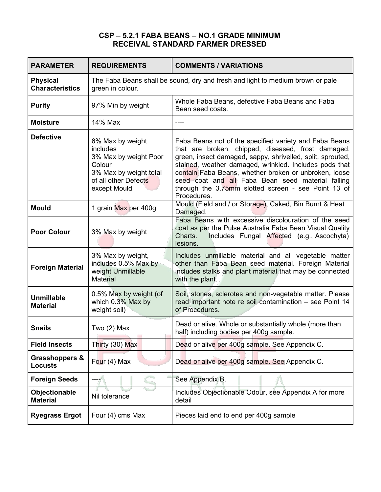### **CSP – 5.2.1 FABA BEANS – NO.1 GRADE MINIMUM RECEIVAL STANDARD FARMER DRESSED**

| <b>PARAMETER</b>                            | <b>REQUIREMENTS</b>                                                                                                               | <b>COMMENTS / VARIATIONS</b>                                                                                                                                                                                                                                                                                                                                                                                             |
|---------------------------------------------|-----------------------------------------------------------------------------------------------------------------------------------|--------------------------------------------------------------------------------------------------------------------------------------------------------------------------------------------------------------------------------------------------------------------------------------------------------------------------------------------------------------------------------------------------------------------------|
| <b>Physical</b><br><b>Characteristics</b>   | The Faba Beans shall be sound, dry and fresh and light to medium brown or pale<br>green in colour.                                |                                                                                                                                                                                                                                                                                                                                                                                                                          |
| <b>Purity</b>                               | 97% Min by weight                                                                                                                 | Whole Faba Beans, defective Faba Beans and Faba<br>Bean seed coats.                                                                                                                                                                                                                                                                                                                                                      |
| <b>Moisture</b>                             | 14% Max                                                                                                                           |                                                                                                                                                                                                                                                                                                                                                                                                                          |
| <b>Defective</b>                            | 6% Max by weight<br>includes<br>3% Max by weight Poor<br>Colour<br>3% Max by weight total<br>of all other Defects<br>except Mould | Faba Beans not of the specified variety and Faba Beans<br>that are broken, chipped, diseased, frost damaged,<br>green, insect damaged, sappy, shrivelled, split, sprouted,<br>stained, weather damaged, wrinkled. Includes pods that<br>contain Faba Beans, whether broken or unbroken, loose<br>seed coat and all Faba Bean seed material falling<br>through the 3.75mm slotted screen - see Point 13 of<br>Procedures. |
| <b>Mould</b>                                | 1 grain Max per 400g                                                                                                              | Mould (Field and / or Storage), Caked, Bin Burnt & Heat<br>Damaged.                                                                                                                                                                                                                                                                                                                                                      |
| <b>Poor Colour</b>                          | 3% Max by weight                                                                                                                  | Faba Beans with excessive discolouration of the seed<br>coat as per the Pulse Australia Faba Bean Visual Quality<br>Includes Fungal Affected (e.g., Ascochyta)<br>Charts.<br>lesions.                                                                                                                                                                                                                                    |
| <b>Foreign Material</b>                     | 3% Max by weight,<br>includes 0.5% Max by<br>weight Unmillable<br><b>Material</b>                                                 | Includes unmillable material and all vegetable matter<br>other than Faba Bean seed material. Foreign Material<br>includes stalks and plant material that may be connected<br>with the plant.                                                                                                                                                                                                                             |
| <b>Unmillable</b><br><b>Material</b>        | 0.5% Max by weight (of<br>which 0.3% Max by<br>weight soil)                                                                       | Soil, stones, sclerotes and non-vegetable matter. Please<br>read important note re soil contamination - see Point 14<br>of Procedures.                                                                                                                                                                                                                                                                                   |
| <b>Snails</b>                               | Two $(2)$ Max                                                                                                                     | Dead or alive. Whole or substantially whole (more than<br>half) including bodies per 400g sample.                                                                                                                                                                                                                                                                                                                        |
| <b>Field Insects</b>                        | Thirty (30) Max                                                                                                                   | Dead or alive per 400g sample. See Appendix C.                                                                                                                                                                                                                                                                                                                                                                           |
| <b>Grasshoppers &amp;</b><br><b>Locusts</b> | Four (4) Max                                                                                                                      | Dead or alive per 400g sample. See Appendix C.                                                                                                                                                                                                                                                                                                                                                                           |
| <b>Foreign Seeds</b>                        |                                                                                                                                   | See Appendix B.                                                                                                                                                                                                                                                                                                                                                                                                          |
| Objectionable<br><b>Material</b>            | Nil tolerance                                                                                                                     | Includes Objectionable Odour, see Appendix A for more<br>detail                                                                                                                                                                                                                                                                                                                                                          |
| <b>Ryegrass Ergot</b>                       | Four (4) cms Max                                                                                                                  | Pieces laid end to end per 400g sample                                                                                                                                                                                                                                                                                                                                                                                   |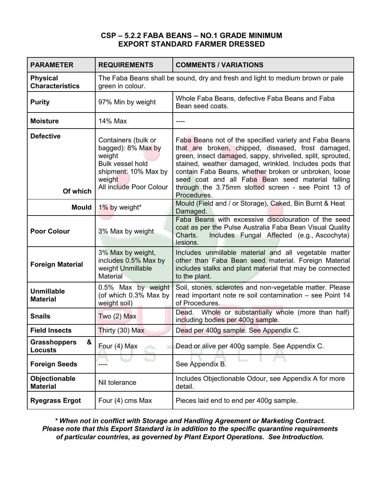#### **CSP – 5.2.2 FABA BEANS – NO.1 GRADE MINIMUM EXPORT STANDARD FARMER DRESSED**

| <b>PARAMETER</b>                           | <b>REQUIREMENTS</b>                                                                                                                  | <b>COMMENTS / VARIATIONS</b>                                                                                                                                                                                                                                                                                                                                                                                             |
|--------------------------------------------|--------------------------------------------------------------------------------------------------------------------------------------|--------------------------------------------------------------------------------------------------------------------------------------------------------------------------------------------------------------------------------------------------------------------------------------------------------------------------------------------------------------------------------------------------------------------------|
| <b>Physical</b><br><b>Characteristics</b>  | green in colour.                                                                                                                     | The Faba Beans shall be sound, dry and fresh and light to medium brown or pale                                                                                                                                                                                                                                                                                                                                           |
| <b>Purity</b>                              | 97% Min by weight                                                                                                                    | Whole Faba Beans, defective Faba Beans and Faba<br>Bean seed coats.                                                                                                                                                                                                                                                                                                                                                      |
| <b>Moisture</b>                            | 14% Max                                                                                                                              | ----                                                                                                                                                                                                                                                                                                                                                                                                                     |
| <b>Defective</b><br>Of which               | Containers (bulk or<br>bagged): 8% Max by<br>weight<br>Bulk vessel hold<br>shipment: 10% Max by<br>weight<br>All include Poor Colour | Faba Beans not of the specified variety and Faba Beans<br>that are broken, chipped, diseased, frost damaged,<br>green, insect damaged, sappy, shrivelled, split, sprouted,<br>stained, weather damaged, wrinkled. Includes pods that<br>contain Faba Beans, whether broken or unbroken, loose<br>seed coat and all Faba Bean seed material falling<br>through the 3.75mm slotted screen - see Point 13 of<br>Procedures. |
| <b>Mould</b>                               | 1% by weight*                                                                                                                        | Mould (Field and / or Storage), Caked, Bin Burnt & Heat<br>Damaged.                                                                                                                                                                                                                                                                                                                                                      |
| <b>Poor Colour</b>                         | 3% Max by weight                                                                                                                     | Faba Beans with excessive discolouration of the seed<br>coat as per the Pulse Australia Faba Bean Visual Quality<br>Includes Fungal Affected (e.g., Ascochyta)<br>Charts.<br>lesions.                                                                                                                                                                                                                                    |
| <b>Foreign Material</b>                    | 3% Max by weight,<br>includes 0.5% Max by<br>weight Unmillable<br>Material                                                           | Includes unmillable material and all vegetable matter<br>other than Faba Bean seed material. Foreign Material<br>includes stalks and plant material that may be connected<br>to the plant.                                                                                                                                                                                                                               |
| <b>Unmillable</b><br><b>Material</b>       | 0.5% Max by weight<br>(of which 0.3% Max by<br>weight soil)                                                                          | Soil, stones, sclerotes and non-vegetable matter. Please<br>read important note re soil contamination - see Point 14<br>of Procedures.                                                                                                                                                                                                                                                                                   |
| <b>Snails</b>                              | Two $(2)$ Max                                                                                                                        | Whole or substantially whole (more than half)<br>Dead.<br>including bodies per 400g sample.                                                                                                                                                                                                                                                                                                                              |
| <b>Field Insects</b>                       | Thirty (30) Max                                                                                                                      | Dead per 400g sample. See Appendix C.                                                                                                                                                                                                                                                                                                                                                                                    |
| &<br><b>Grasshoppers</b><br><b>Locusts</b> | Four (4) Max                                                                                                                         | Dead or alive per 400g sample. See Appendix C.                                                                                                                                                                                                                                                                                                                                                                           |
| <b>Foreign Seeds</b>                       |                                                                                                                                      | See Appendix B.                                                                                                                                                                                                                                                                                                                                                                                                          |
| Objectionable<br><b>Material</b>           | Nil tolerance                                                                                                                        | Includes Objectionable Odour, see Appendix A for more<br>detail.                                                                                                                                                                                                                                                                                                                                                         |
| <b>Ryegrass Ergot</b>                      | Four (4) cms Max                                                                                                                     | Pieces laid end to end per 400g sample.                                                                                                                                                                                                                                                                                                                                                                                  |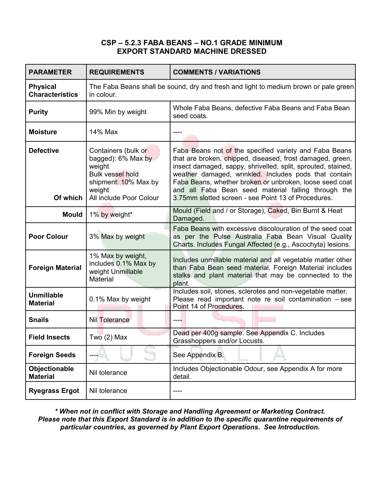#### **CSP – 5.2.3 FABA BEANS – NO.1 GRADE MINIMUM EXPORT STANDARD MACHINE DRESSED**

| <b>PARAMETER</b>                          | <b>REQUIREMENTS</b>                                                                                                                         | <b>COMMENTS / VARIATIONS</b>                                                                                                                                                                                                                                                                                                                                                                                          |
|-------------------------------------------|---------------------------------------------------------------------------------------------------------------------------------------------|-----------------------------------------------------------------------------------------------------------------------------------------------------------------------------------------------------------------------------------------------------------------------------------------------------------------------------------------------------------------------------------------------------------------------|
| <b>Physical</b><br><b>Characteristics</b> | The Faba Beans shall be sound, dry and fresh and light to medium brown or pale green<br>in colour.                                          |                                                                                                                                                                                                                                                                                                                                                                                                                       |
| <b>Purity</b>                             | 99% Min by weight                                                                                                                           | Whole Faba Beans, defective Faba Beans and Faba Bean<br>seed coats.                                                                                                                                                                                                                                                                                                                                                   |
| <b>Moisture</b>                           | 14% Max                                                                                                                                     |                                                                                                                                                                                                                                                                                                                                                                                                                       |
| <b>Defective</b><br>Of which              | Containers (bulk or<br>bagged): 6% Max by<br>weight<br><b>Bulk vessel hold</b><br>shipment: 10% Max by<br>weight<br>All include Poor Colour | Faba Beans not of the specified variety and Faba Beans<br>that are broken, chipped, diseased, frost damaged, green,<br>insect damaged, sappy, shrivelled, split, sprouted, stained,<br>weather damaged, wrinkled. Includes pods that contain<br>Faba Beans, whether broken or unbroken, loose seed coat<br>and all Faba Bean seed material falling through the<br>3.75mm slotted screen - see Point 13 of Procedures. |
| <b>Mould</b>                              | 1% by weight*                                                                                                                               | Mould (Field and / or Storage), Caked, Bin Burnt & Heat<br>Damaged.                                                                                                                                                                                                                                                                                                                                                   |
| <b>Poor Colour</b>                        | 3% Max by weight                                                                                                                            | Faba Beans with excessive discolouration of the seed coat<br>as per the Pulse Australia Faba Bean Visual Quality<br>Charts. Includes Fungal Affected (e.g., Ascochyta) lesions.                                                                                                                                                                                                                                       |
| <b>Foreign Material</b>                   | 1% Max by weight,<br>includes 0.1% Max by<br>weight Unmillable<br>Material                                                                  | Includes unmillable material and all vegetable matter other<br>than Faba Bean seed material. Foreign Material includes<br>stalks and plant material that may be connected to the<br>plant.                                                                                                                                                                                                                            |
| <b>Unmillable</b><br><b>Material</b>      | 0.1% Max by weight                                                                                                                          | Includes soil, stones, sclerotes and non-vegetable matter.<br>Please read important note re soil contamination - see<br>Point 14 of Procedures.                                                                                                                                                                                                                                                                       |
| <b>Snails</b>                             | <b>Nil Tolerance</b>                                                                                                                        |                                                                                                                                                                                                                                                                                                                                                                                                                       |
| <b>Field Insects</b>                      | $Tw\overline{o}$ (2) Max                                                                                                                    | Dead per 400g sample. See Appendix C. Includes<br>Grasshoppers and/or Locusts.                                                                                                                                                                                                                                                                                                                                        |
| <b>Foreign Seeds</b>                      |                                                                                                                                             | See Appendix B.                                                                                                                                                                                                                                                                                                                                                                                                       |
| Objectionable<br><b>Material</b>          | Nil tolerance                                                                                                                               | Includes Objectionable Odour, see Appendix A for more<br>detail.                                                                                                                                                                                                                                                                                                                                                      |
| <b>Ryegrass Ergot</b>                     | Nil tolerance                                                                                                                               |                                                                                                                                                                                                                                                                                                                                                                                                                       |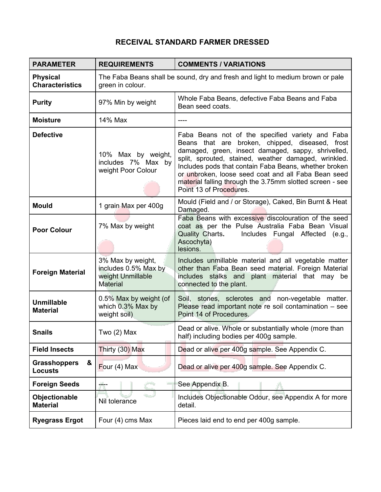# **RECEIVAL STANDARD FARMER DRESSED**

| <b>PARAMETER</b>                           | <b>REQUIREMENTS</b>                                                                                | <b>COMMENTS / VARIATIONS</b>                                                                                                                                                                                                                                                                                                                                                                                             |
|--------------------------------------------|----------------------------------------------------------------------------------------------------|--------------------------------------------------------------------------------------------------------------------------------------------------------------------------------------------------------------------------------------------------------------------------------------------------------------------------------------------------------------------------------------------------------------------------|
| <b>Physical</b><br><b>Characteristics</b>  | The Faba Beans shall be sound, dry and fresh and light to medium brown or pale<br>green in colour. |                                                                                                                                                                                                                                                                                                                                                                                                                          |
| <b>Purity</b>                              | 97% Min by weight                                                                                  | Whole Faba Beans, defective Faba Beans and Faba<br>Bean seed coats.                                                                                                                                                                                                                                                                                                                                                      |
| <b>Moisture</b>                            | 14% Max                                                                                            |                                                                                                                                                                                                                                                                                                                                                                                                                          |
| <b>Defective</b>                           | 10% Max by weight,<br>includes 7% Max by<br>weight Poor Colour                                     | Faba Beans not of the specified variety and Faba<br>Beans that are broken, chipped, diseased, frost<br>damaged, green, insect damaged, sappy, shrivelled,<br>split, sprouted, stained, weather damaged, wrinkled.<br>Includes pods that contain Faba Beans, whether broken<br>or unbroken, loose seed coat and all Faba Bean seed<br>material falling through the 3.75mm slotted screen - see<br>Point 13 of Procedures. |
| <b>Mould</b>                               | 1 grain Max per 400g                                                                               | Mould (Field and / or Storage), Caked, Bin Burnt & Heat<br>Damaged.                                                                                                                                                                                                                                                                                                                                                      |
| <b>Poor Colour</b>                         | 7% Max by weight                                                                                   | Faba Beans with excessive discolouration of the seed<br>coat as per the Pulse Australia Faba Bean Visual<br>Quality Charts.<br>Includes Fungal Affected<br>(e.g.,<br>Ascochyta)<br>lesions.                                                                                                                                                                                                                              |
| <b>Foreign Material</b>                    | 3% Max by weight,<br>includes 0.5% Max by<br>weight Unmillable<br><b>Material</b>                  | Includes unmillable material and all vegetable matter<br>other than Faba Bean seed material. Foreign Material<br>includes stalks and plant material that may be<br>connected to the plant.                                                                                                                                                                                                                               |
| <b>Unmillable</b><br><b>Material</b>       | 0.5% Max by weight (of<br>which 0.3% Max by<br>weight soil)                                        | Soil, stones, sclerotes and non-vegetable matter.<br>Please read important note re soil contamination - see<br>Point 14 of Procedures.                                                                                                                                                                                                                                                                                   |
| <b>Snails</b>                              | Two $(2)$ Max                                                                                      | Dead or alive. Whole or substantially whole (more than<br>half) including bodies per 400g sample.                                                                                                                                                                                                                                                                                                                        |
| <b>Field Insects</b>                       | Thirty (30) Max                                                                                    | Dead or alive per 400g sample. See Appendix C.                                                                                                                                                                                                                                                                                                                                                                           |
| &<br><b>Grasshoppers</b><br><b>Locusts</b> | Four (4) Max                                                                                       | Dead or alive per 400g sample. See Appendix C.                                                                                                                                                                                                                                                                                                                                                                           |
| <b>Foreign Seeds</b>                       |                                                                                                    | See Appendix B.                                                                                                                                                                                                                                                                                                                                                                                                          |
| Objectionable<br><b>Material</b>           | Nil tolerance                                                                                      | Includes Objectionable Odour, see Appendix A for more<br>detail.                                                                                                                                                                                                                                                                                                                                                         |
| <b>Ryegrass Ergot</b>                      | Four (4) cms Max                                                                                   | Pieces laid end to end per 400g sample.                                                                                                                                                                                                                                                                                                                                                                                  |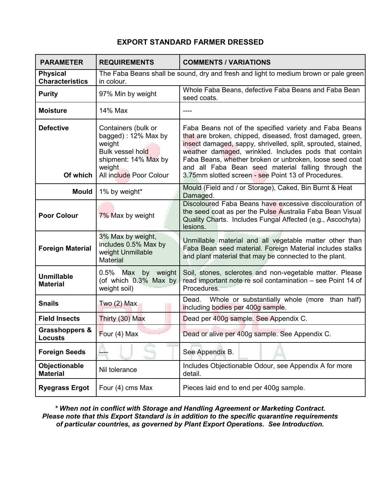### **EXPORT STANDARD FARMER DRESSED**

| <b>PARAMETER</b>                          | <b>REQUIREMENTS</b>                                                                                                                          | <b>COMMENTS / VARIATIONS</b>                                                                                                                                                                                                                                                                                                                                                                                          |
|-------------------------------------------|----------------------------------------------------------------------------------------------------------------------------------------------|-----------------------------------------------------------------------------------------------------------------------------------------------------------------------------------------------------------------------------------------------------------------------------------------------------------------------------------------------------------------------------------------------------------------------|
| <b>Physical</b><br><b>Characteristics</b> | The Faba Beans shall be sound, dry and fresh and light to medium brown or pale green<br>in colour.                                           |                                                                                                                                                                                                                                                                                                                                                                                                                       |
| <b>Purity</b>                             | 97% Min by weight                                                                                                                            | Whole Faba Beans, defective Faba Beans and Faba Bean<br>seed coats.                                                                                                                                                                                                                                                                                                                                                   |
| <b>Moisture</b>                           | 14% Max                                                                                                                                      | ----                                                                                                                                                                                                                                                                                                                                                                                                                  |
| <b>Defective</b><br>Of which              | Containers (bulk or<br>bagged): 12% Max by<br>weight<br><b>Bulk vessel hold</b><br>shipment: 14% Max by<br>weight<br>All include Poor Colour | Faba Beans not of the specified variety and Faba Beans<br>that are broken, chipped, diseased, frost damaged, green,<br>insect damaged, sappy, shrivelled, split, sprouted, stained,<br>weather damaged, wrinkled. Includes pods that contain<br>Faba Beans, whether broken or unbroken, loose seed coat<br>and all Faba Bean seed material falling through the<br>3.75mm slotted screen - see Point 13 of Procedures. |
| <b>Mould</b>                              | 1% by weight*                                                                                                                                | Mould (Field and / or Storage), Caked, Bin Burnt & Heat<br>Damaged.                                                                                                                                                                                                                                                                                                                                                   |
| <b>Poor Colour</b>                        | 7% Max by weight                                                                                                                             | Discoloured Faba Beans have excessive discolouration of<br>the seed coat as per the Pulse Australia Faba Bean Visual<br>Quality Charts. Includes Fungal Affected (e.g., Ascochyta)<br>lesions.                                                                                                                                                                                                                        |
| <b>Foreign Material</b>                   | 3% Max by weight,<br>includes 0.5% Max by<br>weight Unmillable<br><b>Material</b>                                                            | Unmillable material and all vegetable matter other than<br>Faba Bean seed material. Foreign Material includes stalks<br>and plant material that may be connected to the plant.                                                                                                                                                                                                                                        |
| <b>Unmillable</b><br><b>Material</b>      | $0.5\%$<br>by weight<br>Max<br>(of which 0.3% Max by<br>weight soil)                                                                         | Soil, stones, sclerotes and non-vegetable matter. Please<br>read important note re soil contamination - see Point 14 of<br>Procedures.                                                                                                                                                                                                                                                                                |
| <b>Snails</b>                             | Two $(2)$ Max                                                                                                                                | Whole or substantially whole (more than half)<br>Dead.<br>including bodies per 400g sample.                                                                                                                                                                                                                                                                                                                           |
| <b>Field Insects</b>                      | Thirty (30) Max                                                                                                                              | Dead per 400g sample. See Appendix C.                                                                                                                                                                                                                                                                                                                                                                                 |
| Grasshoppers &<br><b>Locusts</b>          | Four (4) Max                                                                                                                                 | Dead or alive per 400g sample. See Appendix C.                                                                                                                                                                                                                                                                                                                                                                        |
| <b>Foreign Seeds</b>                      |                                                                                                                                              | See Appendix B.                                                                                                                                                                                                                                                                                                                                                                                                       |
| Objectionable<br><b>Material</b>          | Nil tolerance                                                                                                                                | Includes Objectionable Odour, see Appendix A for more<br>detail.                                                                                                                                                                                                                                                                                                                                                      |
| <b>Ryegrass Ergot</b>                     | Four (4) cms Max                                                                                                                             | Pieces laid end to end per 400g sample.                                                                                                                                                                                                                                                                                                                                                                               |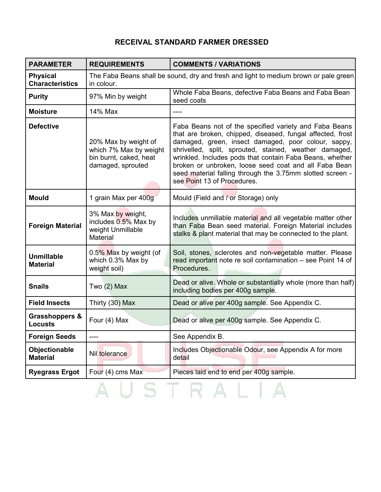# **RECEIVAL STANDARD FARMER DRESSED**

| <b>PARAMETER</b>                            | <b>REQUIREMENTS</b>                                                                                | <b>COMMENTS / VARIATIONS</b>                                                                                                                                                                                                                                                                                                                                                                                                                           |
|---------------------------------------------|----------------------------------------------------------------------------------------------------|--------------------------------------------------------------------------------------------------------------------------------------------------------------------------------------------------------------------------------------------------------------------------------------------------------------------------------------------------------------------------------------------------------------------------------------------------------|
| <b>Physical</b><br><b>Characteristics</b>   | The Faba Beans shall be sound, dry and fresh and light to medium brown or pale green<br>in colour. |                                                                                                                                                                                                                                                                                                                                                                                                                                                        |
| <b>Purity</b>                               | 97% Min by weight                                                                                  | Whole Faba Beans, defective Faba Beans and Faba Bean<br>seed coats                                                                                                                                                                                                                                                                                                                                                                                     |
| <b>Moisture</b>                             | 14% Max                                                                                            | ----                                                                                                                                                                                                                                                                                                                                                                                                                                                   |
| <b>Defective</b>                            | 20% Max by weight of<br>which 7% Max by weight<br>bin burnt, caked, heat<br>damaged, sprouted      | Faba Beans not of the specified variety and Faba Beans<br>that are broken, chipped, diseased, fungal affected, frost<br>damaged, green, insect damaged, poor colour, sappy,<br>shrivelled, split, sprouted, stained, weather damaged,<br>wrinkled. Includes pods that contain Faba Beans, whether<br>broken or unbroken, loose seed coat and all Faba Bean<br>seed material falling through the 3.75mm slotted screen -<br>see Point 13 of Procedures. |
| <b>Mould</b>                                | 1 grain Max per 400g                                                                               | Mould (Field and / or Storage) only                                                                                                                                                                                                                                                                                                                                                                                                                    |
| <b>Foreign Material</b>                     | 3% Max by weight,<br>includes 0.5% Max by<br>weight Unmillable<br>Material                         | Includes unmillable material and all vegetable matter other<br>than Faba Bean seed material. Foreign Material includes<br>stalks & plant material that may be connected to the plant.                                                                                                                                                                                                                                                                  |
| <b>Unmillable</b><br><b>Material</b>        | 0.5% Max by weight (of<br>which 0.3% Max by<br>weight soil)                                        | Soil, stones, sclerotes and non-vegetable matter. Please<br>read important note re soil contamination - see Point 14 of<br>Procedures.                                                                                                                                                                                                                                                                                                                 |
| <b>Snails</b>                               | Two $(2)$ Max                                                                                      | Dead or alive. Whole or substantially whole (more than half)<br>including bodies per 400g sample.                                                                                                                                                                                                                                                                                                                                                      |
| <b>Field Insects</b>                        | Thirty (30) Max                                                                                    | Dead or alive per 400g sample. See Appendix C.                                                                                                                                                                                                                                                                                                                                                                                                         |
| <b>Grasshoppers &amp;</b><br><b>Locusts</b> | Four (4) Max                                                                                       | Dead or alive per 400g sample. See Appendix C.                                                                                                                                                                                                                                                                                                                                                                                                         |
| <b>Foreign Seeds</b>                        |                                                                                                    | See Appendix B.                                                                                                                                                                                                                                                                                                                                                                                                                                        |
| Objectionable<br><b>Material</b>            | Nil tolerance                                                                                      | Includes Objectionable Odour, see Appendix A for more<br>detail                                                                                                                                                                                                                                                                                                                                                                                        |
| <b>Ryegrass Ergot</b>                       | Four (4) cms Max                                                                                   | Pieces laid end to end per 400g sample.                                                                                                                                                                                                                                                                                                                                                                                                                |